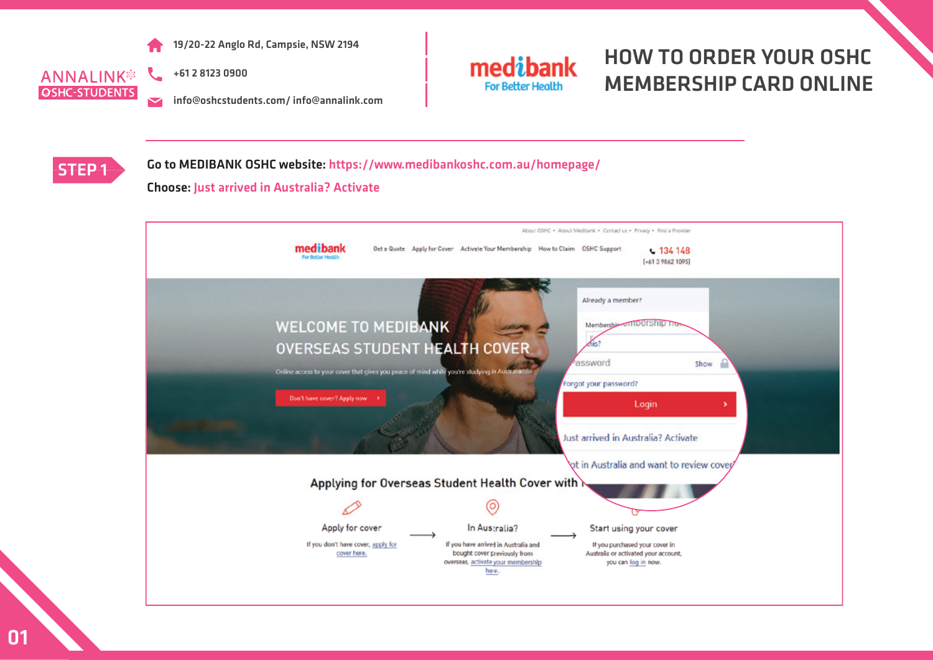

+61 2 8123 0900  $\mathcal{L}_{-}$ **OSHC-STUDENTS** 

info@oshcstudents.com/ info@annalink.com  $\overline{\mathbf{v}}$ 



## HOW TO ORDER YOUR OSHC MEMBERSHIP CARD ONLINE



STEP 1 Go to MEDIBANK OSHC website: https://www.medibankoshc.com.au/homepage/

### Choose: Just arrived in Australia? Activate

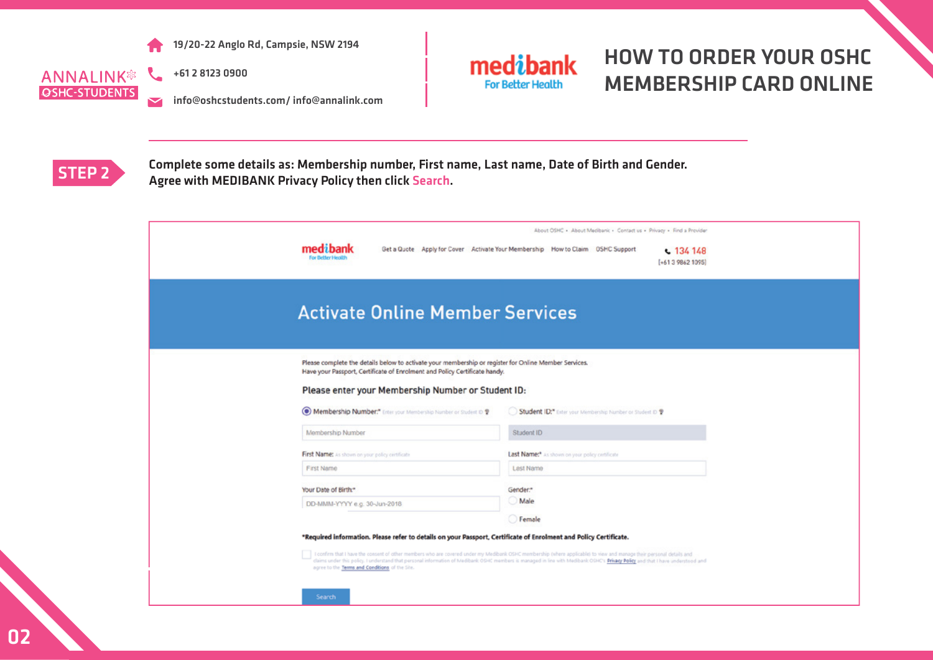

 $\mathcal{L}$ **ANNALINK® OSHC-STUDENTS**  $\overline{\mathbf{v}}$ 



info@oshcstudents.com/ info@annalink.com



## HOW TO ORDER YOUR OSHC MEMBERSHIP CARD ONLINE



STEP 2 Complete some details as: Membership number, First name, Last name, Date of Birth and Gender.<br>Agree with MEDIRANK Privacy Policy then click Search Agree with MEDIBANK Privacy Policy then click Search.

| medibank<br>For Better H                                                                                                                                                                                                                  | About OSHC . About Medibanic . Contact us . Privacy . Find a Provider<br>Get a Quote Apply for Cover Activate Your Membership How to Claim OSHC Support<br>$-134148$<br>$[+61398621095]$                                                                                                                                                                 |
|-------------------------------------------------------------------------------------------------------------------------------------------------------------------------------------------------------------------------------------------|----------------------------------------------------------------------------------------------------------------------------------------------------------------------------------------------------------------------------------------------------------------------------------------------------------------------------------------------------------|
| <b>Activate Online Member Services</b>                                                                                                                                                                                                    |                                                                                                                                                                                                                                                                                                                                                          |
| Please complete the details below to activate your membership or register for Online Member Services.<br>Have your Passport, Certificate of Enrolment and Policy Certificate handy.<br>Please enter your Membership Number or Student ID: |                                                                                                                                                                                                                                                                                                                                                          |
| Membership Number." Enter your Membership Number or Student D ?                                                                                                                                                                           | Student ID:" Enter your Membership Number or Student D ?                                                                                                                                                                                                                                                                                                 |
| Membership Number                                                                                                                                                                                                                         | Student ID                                                                                                                                                                                                                                                                                                                                               |
| First Name: As shown on your policy certificate                                                                                                                                                                                           | Last Name:* As shown on your policy certificate                                                                                                                                                                                                                                                                                                          |
| First Name                                                                                                                                                                                                                                | Last Name                                                                                                                                                                                                                                                                                                                                                |
| Your Date of Birth:*                                                                                                                                                                                                                      | Gender.*                                                                                                                                                                                                                                                                                                                                                 |
| DD-MMM-YYYY e.g. 30-Jun-2018                                                                                                                                                                                                              | Male                                                                                                                                                                                                                                                                                                                                                     |
|                                                                                                                                                                                                                                           | Female                                                                                                                                                                                                                                                                                                                                                   |
| *Required information. Please refer to details on your Passport, Certificate of Enrolment and Policy Certificate.<br>agree to the Terms and Conditions of the Site.<br>Search                                                             | I confirm that I have the consent of other members who are covered under my Medibank OSHC membership (where applicable) to view and manage their personal details and<br>claims under this policy. I understand that personal information of Medibank OSHC members is managed in line with Medibank OSHC's Privacy Policy and that I have understood and |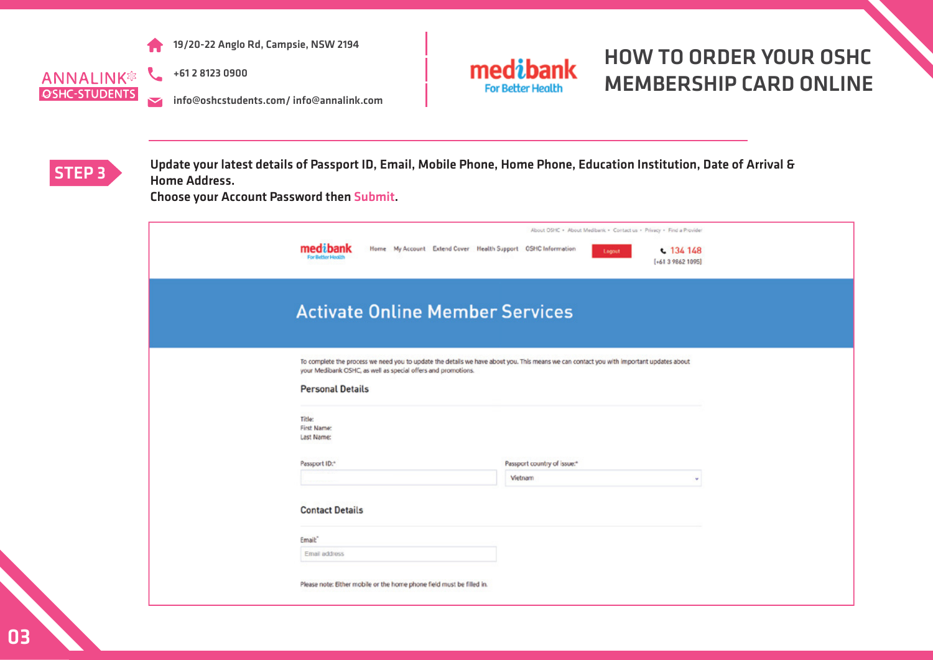

**ANNALINK® OSHC-STUDENTS**  $\blacktriangleright$  +61 2 8123 0900

info@oshcstudents.com/ info@annalink.com



### HOW TO ORDER YOUR OSHC MEMBERSHIP CARD ONLINE

#### **STEP 3** Update your latest details of Passport ID, Email, Mobile Phone, Home Phone, Education Institution, Date of Arrival & Home Address.

Choose your Account Password then Submit.

| medibank<br>Home My Account Extend Cover Health Support OSHC Information<br>For Better Health                                                                                                                                                                                     | About OSHC . About Medibank . Contact us . Privacy . Find a Provider<br>$c$ 134 148<br>Logout<br>$[+61398621095]$ |   |
|-----------------------------------------------------------------------------------------------------------------------------------------------------------------------------------------------------------------------------------------------------------------------------------|-------------------------------------------------------------------------------------------------------------------|---|
| <b>Activate Online Member Services</b>                                                                                                                                                                                                                                            |                                                                                                                   |   |
| To complete the process we need you to update the details we have about you. This means we can contact you with important updates about<br>your Medibank CSHC, as well as special offers and promotions.<br><b>Personal Details</b><br>Title:<br><b>First Name:</b><br>Last Name: |                                                                                                                   |   |
| Passport ID:*                                                                                                                                                                                                                                                                     | Passport country of issue."<br>Vietnam                                                                            | ÷ |
| <b>Contact Details</b>                                                                                                                                                                                                                                                            |                                                                                                                   |   |
| Email:<br>Email address                                                                                                                                                                                                                                                           |                                                                                                                   |   |
| Please note: Either mobile or the home phone field must be filled in.                                                                                                                                                                                                             |                                                                                                                   |   |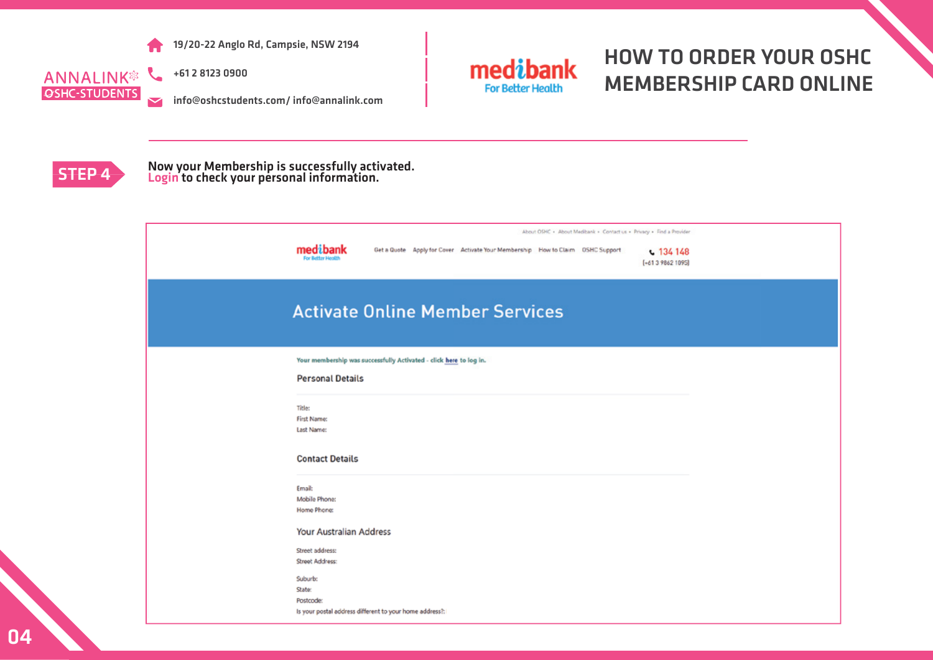

 $\mathcal{L}$ **ANNALINK® OSHC-STUDENTS**  $\overline{\mathbf{v}}$ 

+61 2 8123 0900

info@oshcstudents.com/ info@annalink.com



## HOW TO ORDER YOUR OSHC MEMBERSHIP CARD ONLINE



## STEP 4 Now your Membership is successfully activated.<br>
<u>Login</u> to check your personal information.

| About OSHC . About Medibank . Contact us . Privacy . Find a Provider<br>medibank<br>Get a Quote Apply for Cover Activate Your Membership How to Claim OSHC Support<br>$C$ 134 148<br>For Better Health<br>(+61 3 9862 1095) |
|-----------------------------------------------------------------------------------------------------------------------------------------------------------------------------------------------------------------------------|
| <b>Activate Online Member Services</b>                                                                                                                                                                                      |
| Your membership was successfully Activated - click here to log in.<br><b>Personal Details</b>                                                                                                                               |
| Title:<br>First Name:<br>Last Name:                                                                                                                                                                                         |
| <b>Contact Details</b>                                                                                                                                                                                                      |
| Email:<br>Mobile Phone:<br>Home Phone:                                                                                                                                                                                      |
| Your Australian Address                                                                                                                                                                                                     |
| Street address:<br>Street Address:                                                                                                                                                                                          |
| Suburb:<br>State:<br>Postcode:<br>Is your postal address different to your home address ?:                                                                                                                                  |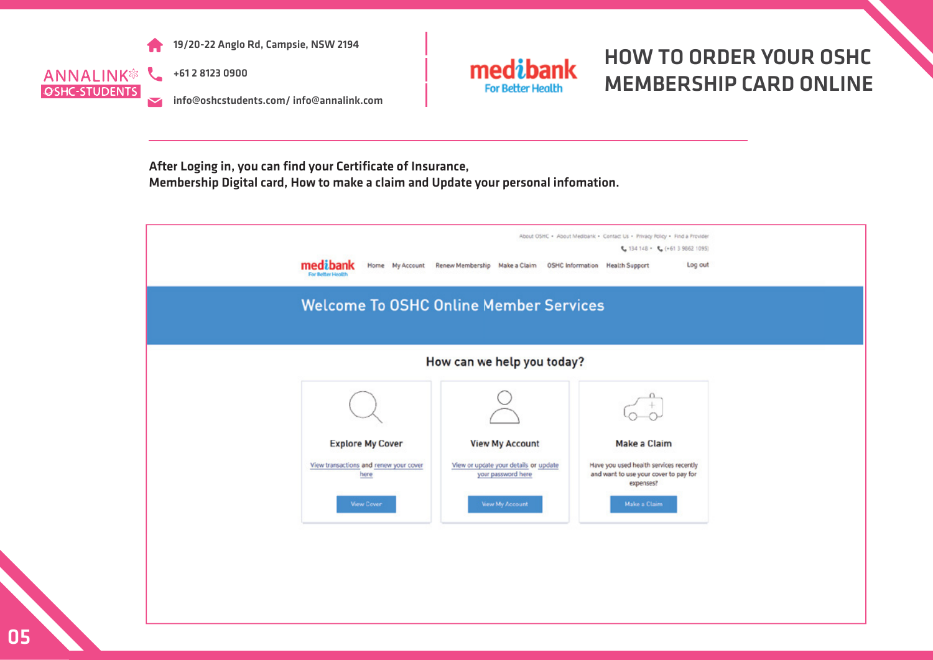

**ANNALINK<sup>®</sup> & OSHC-STUDENTS** 

+61 2 8123 0900

info@oshcstudents.com/ info@annalink.com



# HOW TO ORDER YOUR OSHC MEMBERSHIP CARD ONLINE

After Loging in, you can find your Certificate of Insurance, Membership Digital card, How to make a claim and Update your personal infomation.

| About OSHC . About Medibank . Contact Us . Privacy Policy . Find a Provider<br>€ 134 148 • € (+61 3 9862 1095)<br>medibank<br>Home My Account Renew Membership Make a Claim<br><b>OSHC Information</b> Health Support<br>Log out<br>For Better Health<br><b>Welcome To OSHC Online Member Services</b> |                                                             |                                                                                              |  |  |
|--------------------------------------------------------------------------------------------------------------------------------------------------------------------------------------------------------------------------------------------------------------------------------------------------------|-------------------------------------------------------------|----------------------------------------------------------------------------------------------|--|--|
|                                                                                                                                                                                                                                                                                                        | How can we help you today?                                  |                                                                                              |  |  |
|                                                                                                                                                                                                                                                                                                        |                                                             |                                                                                              |  |  |
| <b>Explore My Cover</b>                                                                                                                                                                                                                                                                                | <b>View My Account</b>                                      | Make a Claim                                                                                 |  |  |
| View transactions and renew your cover<br>here                                                                                                                                                                                                                                                         | View or update your details or update<br>your password here | Have you used health services recently<br>and want to use your cover to pay for<br>expenses? |  |  |
| <b>View Cover</b>                                                                                                                                                                                                                                                                                      | <b>View My Account</b>                                      | Make a Claim                                                                                 |  |  |
|                                                                                                                                                                                                                                                                                                        |                                                             |                                                                                              |  |  |
|                                                                                                                                                                                                                                                                                                        |                                                             |                                                                                              |  |  |
|                                                                                                                                                                                                                                                                                                        |                                                             |                                                                                              |  |  |